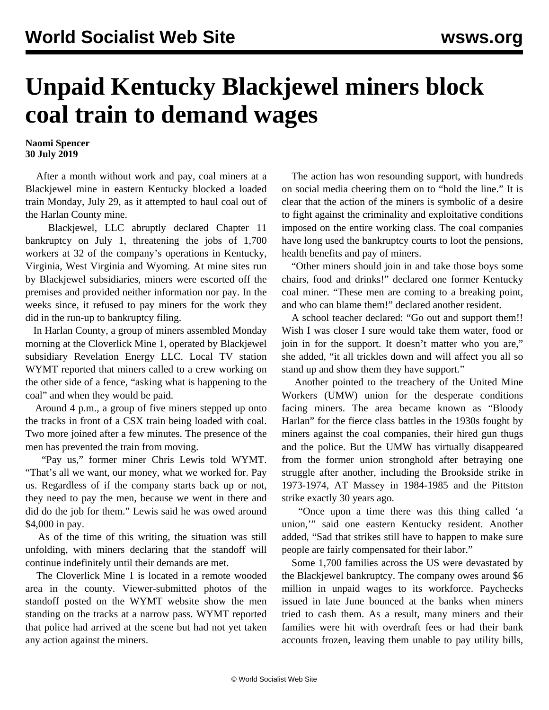## **Unpaid Kentucky Blackjewel miners block coal train to demand wages**

**Naomi Spencer 30 July 2019**

 After a month without work and pay, coal miners at a Blackjewel mine in eastern Kentucky blocked a loaded train Monday, July 29, as it attempted to haul coal out of the Harlan County mine.

 [Blackjewel, LLC](/en/articles/2019/07/23/bjwl-j23.html) abruptly declared Chapter 11 bankruptcy on July 1, threatening the jobs of 1,700 workers at 32 of the company's operations in Kentucky, Virginia, West Virginia and Wyoming. At mine sites run by Blackjewel subsidiaries, miners were escorted off the premises and provided neither information nor pay. In the weeks since, it refused to pay miners for the work they did in the run-up to bankruptcy filing.

 In Harlan County, a group of miners assembled Monday morning at the Cloverlick Mine 1, operated by Blackjewel subsidiary Revelation Energy LLC. Local TV station WYMT reported that miners called to a crew working on the other side of a fence, "asking what is happening to the coal" and when they would be paid.

 Around 4 p.m., a group of five miners stepped up onto the tracks in front of a CSX train being loaded with coal. Two more joined after a few minutes. The presence of the men has prevented the train from moving.

 "Pay us," former miner Chris Lewis told WYMT. "That's all we want, our money, what we worked for. Pay us. Regardless of if the company starts back up or not, they need to pay the men, because we went in there and did do the job for them." Lewis said he was owed around \$4,000 in pay.

 As of the time of this writing, the situation was still unfolding, with miners declaring that the standoff will continue indefinitely until their demands are met.

 The Cloverlick Mine 1 is located in a remote wooded area in the county. Viewer-submitted photos of the standoff [posted on the WYMT website](https://www.wymt.com/content/news/Unpaid-miners-want-answers-as-train-carries-coal-away-from--513348141.html) show the men standing on the tracks at a narrow pass. WYMT reported that police had arrived at the scene but had not yet taken any action against the miners.

 The action has won resounding support, with hundreds on [social media](https://www.facebook.com/WYMTNews/posts/10157100036164584?__xts__%5B0%5D=68.ARDzWkiNIEofW_ekgdNThvDiuhYHpivD1rrLwbKyR-RSkgPZBxe-8n01ye4hvxu8vz3L9VT5mMLIbc8BKT30tvSZSM07l1-_6DH9ekdMvJKh8c5yE2j0L7qjyUl9cNKN65nZuZh01oBj03Hb4GkxE-MFM7HAqO-lwJuYSYzXrOhNeu9wKANgz1HGvgKR7MpV7ZAf3zbV4rhIxGpU7h1UzhB0O6VKtuKnmVm-NI_To1hGpHi7PYOUSN1JMum21vJjwERdJL4DqFrchdHTV3SjIs8rK_GlTqy7YTp35ocOrh9GYd89LMKp9ID_Fgbvtq1J6tvf8ZWPJocgskNhNw&__tn__=-R) cheering them on to "hold the line." It is clear that the action of the miners is symbolic of a desire to fight against the criminality and exploitative conditions imposed on the entire working class. The coal companies have long used the bankruptcy courts to loot the pensions, health benefits and pay of miners.

 "Other miners should join in and take those boys some chairs, food and drinks!" declared one former Kentucky coal miner. "These men are coming to a breaking point, and who can blame them!" declared another resident.

 A school teacher declared: "Go out and support them!! Wish I was closer I sure would take them water, food or join in for the support. It doesn't matter who you are," she added, "it all trickles down and will affect you all so stand up and show them they have support."

 Another pointed to the treachery of the United Mine Workers (UMW) union for the desperate conditions facing miners. The area became known as "Bloody Harlan" for the fierce class battles in the 1930s fought by miners against the coal companies, their hired gun thugs and the police. But the UMW has virtually disappeared from the former union stronghold after betraying one struggle after another, including the Brookside strike in 1973-1974, AT Massey in 1984-1985 and the Pittston strike exactly 30 years ago.

 "Once upon a time there was this thing called 'a union,'" said one eastern Kentucky resident. Another added, "Sad that strikes still have to happen to make sure people are fairly compensated for their labor."

 Some 1,700 families across the US were devastated by the Blackjewel bankruptcy. The company owes around \$6 million in unpaid wages to its workforce. Paychecks issued in late June bounced at the banks when miners tried to cash them. As a result, many miners and their families were hit with overdraft fees or had their bank accounts frozen, leaving them unable to pay utility bills,